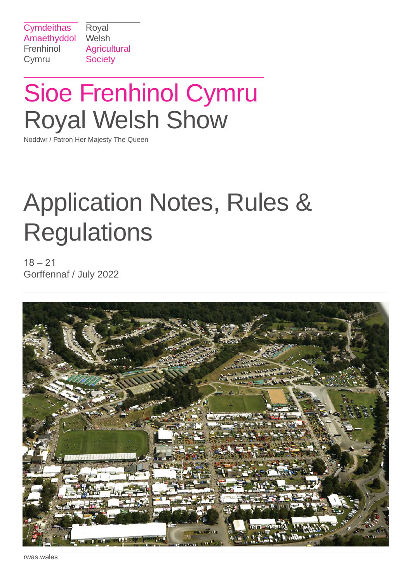Royal **Agricultural Society** 

# Sioe Frenhinol Cymru Royal Welsh Show

Noddwr / Patron Her Majesty The Queen

# Application Notes, Rules & **Regulations**

 $18 - 21$ Gorffennaf / July 2022



rwas.wales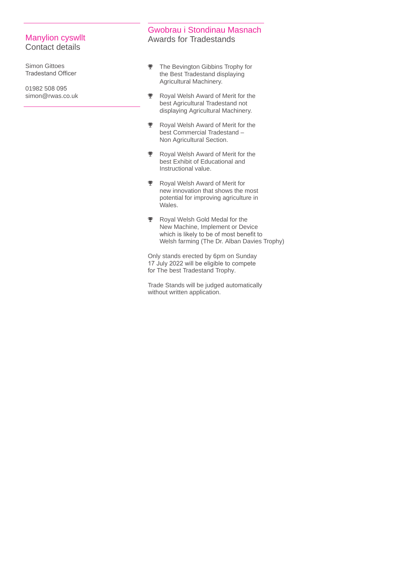#### Manylion cyswllt Contact details

Simon Gittoes Tradestand Officer

01982 508 095 simon@rwas.co.uk

#### Gwobrau i Stondinau Masnach Awards for Tradestands

- $\overline{\mathbf{Y}}$  The Bevington Gibbins Trophy for the Best Tradestand displaying Agricultural Machinery.
- $\overline{\mathbf{V}}$  Royal Welsh Award of Merit for the best Agricultural Tradestand not displaying Agricultural Machinery.
- Royal Welsh Award of Merit for the  $\overline{\mathbf{v}}$ best Commercial Tradestand – Non Agricultural Section.
- Royal Welsh Award of Merit for the  $\bullet$ best Exhibit of Educational and Instructional value.
- Royal Welsh Award of Merit for new innovation that shows the most potential for improving agriculture in Wales.
- Royal Welsh Gold Medal for the New Machine, Implement or Device which is likely to be of most benefit to Welsh farming (The Dr. Alban Davies Trophy)

Only stands erected by 6pm on Sunday 17 July 2022 will be eligible to compete for The best Tradestand Trophy.

Trade Stands will be judged automatically without written application.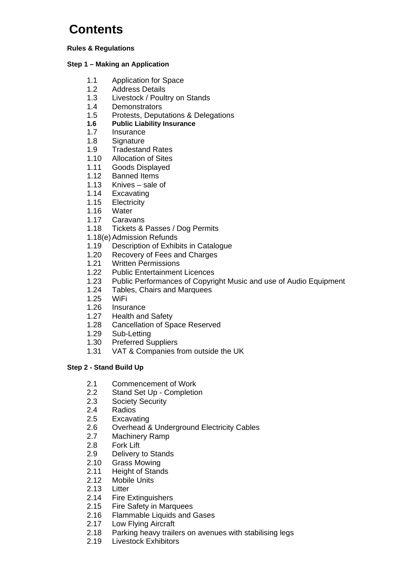# **Contents**

#### **Rules & Regulations**

#### **Step 1 – Making an Application**

- 1.1 Application for Space
- 1.2 Address Details
- 1.3 Livestock / Poultry on Stands
- 1.4 Demonstrators
- 1.5 Protests, Deputations & Delegations
- **1.6 Public Liability Insurance**
- 1.7 Insurance
- 1.8 Signature
- 1.9 Tradestand Rates
- 1.10 Allocation of Sites
- 1.11 Goods Displayed
- 1.12 Banned Items
- 1.13 Knives sale of
- 1.14 Excavating
- 1.15 Electricity
- 1.16 Water
- 1.17 Caravans
- 1.18 Tickets & Passes / Dog Permits
- 1.18(e) Admission Refunds
- 1.19 Description of Exhibits in Catalogue
- 1.20 Recovery of Fees and Charges
- 1.21 Written Permissions
- 1.22 Public Entertainment Licences
- 1.23 Public Performances of Copyright Music and use of Audio Equipment
- 1.24 Tables, Chairs and Marquees
- 1.25 WiFi
- 1.26 Insurance
- 1.27 Health and Safety
- 1.28 Cancellation of Space Reserved
- 1.29 Sub-Letting
- 1.30 Preferred Suppliers
- 1.31 VAT & Companies from outside the UK

#### **Step 2 - Stand Build Up**

- 2.1 Commencement of Work
- 2.2 Stand Set Up Completion
- 2.3 Society Security
- 2.4 Radios
- 2.5 Excavating
- 2.6 Overhead & Underground Electricity Cables
- 2.7 Machinery Ramp
- 2.8 Fork Lift
- 2.9 Delivery to Stands
- 2.10 Grass Mowing
- 2.11 Height of Stands
- 2.12 Mobile Units
- 2.13 Litter
- 2.14 Fire Extinguishers
- 2.15 Fire Safety in Marquees
- 2.16 Flammable Liquids and Gases
- 2.17 Low Flying Aircraft
- 2.18 Parking heavy trailers on avenues with stabilising legs
- 2.19 Livestock Exhibitors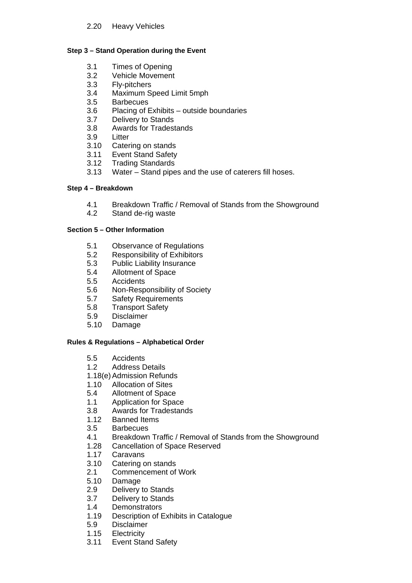#### **Step 3 – Stand Operation during the Event**

- 3.1 Times of Opening
- 3.2 Vehicle Movement
- 3.3 Fly-pitchers
- 3.4 Maximum Speed Limit 5mph
- **Barbecues**
- 3.6 Placing of Exhibits outside boundaries
- 3.7 Delivery to Stands
- 3.8 Awards for Tradestands
- 3.9 Litter
- 3.10 Catering on stands
- 3.11 Event Stand Safety
- 3.12 Trading Standards<br>3.13 Water Stand pipe
- Water Stand pipes and the use of caterers fill hoses.

#### **Step 4 – Breakdown**

- 4.1 Breakdown Traffic / Removal of Stands from the Showground
- 4.2 Stand de-rig waste

#### **Section 5 – Other Information**

- 5.1 Observance of Regulations
- 5.2 Responsibility of Exhibitors
- 5.3 Public Liability Insurance
- 5.4 Allotment of Space
- 5.5 Accidents
- 5.6 Non-Responsibility of Society
- 5.7 Safety Requirements
- 5.8 Transport Safety
- 5.9 Disclaimer
- 5.10 Damage

#### **Rules & Regulations – Alphabetical Order**

- 5.5 Accidents
- 1.2 Address Details
- 1.18(e) Admission Refunds
- 1.10 Allocation of Sites
- 5.4 Allotment of Space
- 1.1 Application for Space
- 3.8 Awards for Tradestands
- 1.12 Banned Items
- 3.5 Barbecues
- 4.1 Breakdown Traffic / Removal of Stands from the Showground
- 1.28 Cancellation of Space Reserved
- 1.17 Caravans
- 3.10 Catering on stands
- 2.1 Commencement of Work<br>5.10 Damage
- **Damage**
- 2.9 Delivery to Stands
- 3.7 Delivery to Stands
- 1.4 Demonstrators
- 1.19 Description of Exhibits in Catalogue
- 5.9 Disclaimer
- 1.15 Electricity
- 3.11 Event Stand Safety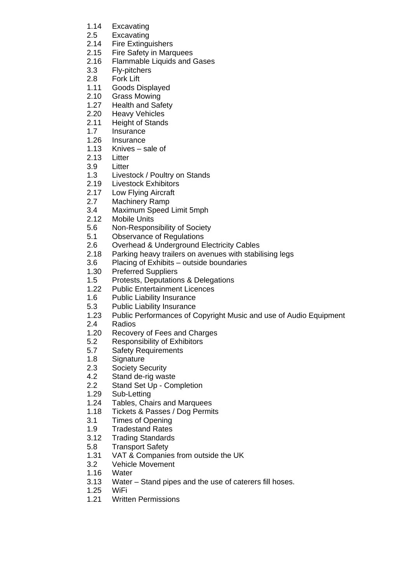- 1.14 Excavating
- 2.5 Excavating<br>2.14 Fire Exting
- **Fire Extinguishers**
- 2.15 Fire Safety in Marquees
- 2.16 Flammable Liquids and Gases
- 3.3 Fly-pitchers
- 2.8 Fork Lift
- 1.11 Goods Displayed
- 2.10 Grass Mowing
- 1.27 Health and Safety
- 2.20 Heavy Vehicles
- 2.11 Height of Stands
- 1.7 Insurance
- 1.26 Insurance
- 1.13 Knives sale of
- 2.13 Litter
- 3.9 Litter
- 1.3 Livestock / Poultry on Stands
- 2.19 Livestock Exhibitors
- 2.17 Low Flying Aircraft<br>2.7 Machinery Ramp
- Machinery Ramp
- 3.4 Maximum Speed Limit 5mph
- 2.12 Mobile Units
- 5.6 Non-Responsibility of Society
- 5.1 Observance of Regulations
- 2.6 Overhead & Underground Electricity Cables
- 2.18 Parking heavy trailers on avenues with stabilising legs
- 3.6 Placing of Exhibits outside boundaries<br>1.30 Preferred Suppliers
- Preferred Suppliers
- 1.5 Protests, Deputations & Delegations
- 1.22 Public Entertainment Licences
- 1.6 Public Liability Insurance
- 5.3 Public Liability Insurance<br>1.23 Public Performances of C
- Public Performances of Copyright Music and use of Audio Equipment
- 2.4 Radios
- 1.20 Recovery of Fees and Charges
- 5.2 Responsibility of Exhibitors
- 5.7 Safety Requirements
- 1.8 Signature
- 2.3 Society Security<br>4.2 Stand de-rig was
- Stand de-rig waste
- 2.2 Stand Set Up Completion
- 1.29 Sub-Letting
- 1.24 Tables, Chairs and Marquees
- 1.18 Tickets & Passes / Dog Permits
- 3.1 Times of Opening
- 1.9 Tradestand Rates
- 3.12 Trading Standards
- 5.8 Transport Safety
- 1.31 VAT & Companies from outside the UK
- 3.2 Vehicle Movement
- 1.16 Water
- 3.13 Water Stand pipes and the use of caterers fill hoses.
- 1.25 WiFi
- 1.21 Written Permissions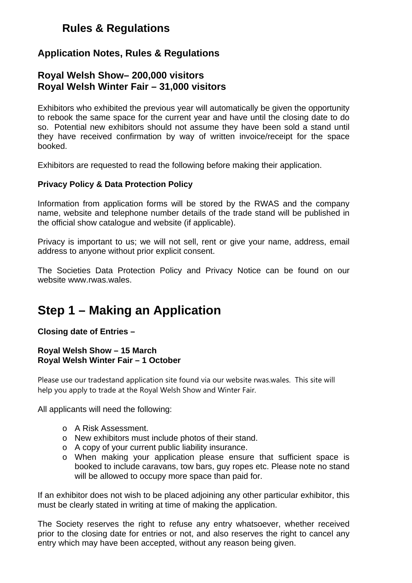## **Rules & Regulations**

### **Application Notes, Rules & Regulations**

### **Royal Welsh Show– 200,000 visitors Royal Welsh Winter Fair – 31,000 visitors**

Exhibitors who exhibited the previous year will automatically be given the opportunity to rebook the same space for the current year and have until the closing date to do so. Potential new exhibitors should not assume they have been sold a stand until they have received confirmation by way of written invoice/receipt for the space booked.

Exhibitors are requested to read the following before making their application.

#### **Privacy Policy & Data Protection Policy**

Information from application forms will be stored by the RWAS and the company name, website and telephone number details of the trade stand will be published in the official show catalogue and website (if applicable).

Privacy is important to us; we will not sell, rent or give your name, address, email address to anyone without prior explicit consent.

The Societies Data Protection Policy and Privacy Notice can be found on our website www.rwas.wales.

## **Step 1 – Making an Application**

**Closing date of Entries –** 

#### **Royal Welsh Show – 15 March Royal Welsh Winter Fair – 1 October**

Please use our tradestand application site found via our website rwas.wales. This site will help you apply to trade at the Royal Welsh Show and Winter Fair.

All applicants will need the following:

- o A Risk Assessment.
- o New exhibitors must include photos of their stand.
- o A copy of your current public liability insurance.
- o When making your application please ensure that sufficient space is booked to include caravans, tow bars, guy ropes etc. Please note no stand will be allowed to occupy more space than paid for.

If an exhibitor does not wish to be placed adjoining any other particular exhibitor, this must be clearly stated in writing at time of making the application.

The Society reserves the right to refuse any entry whatsoever, whether received prior to the closing date for entries or not, and also reserves the right to cancel any entry which may have been accepted, without any reason being given.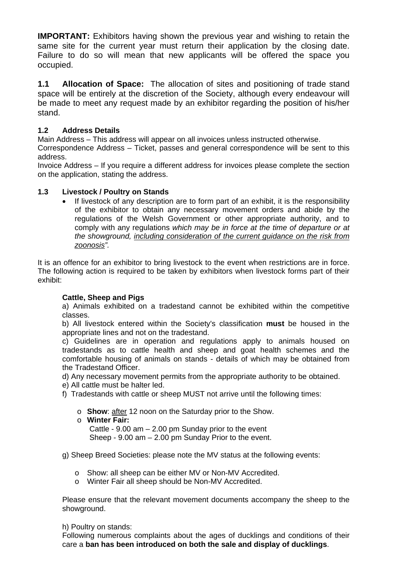**IMPORTANT:** Exhibitors having shown the previous year and wishing to retain the same site for the current year must return their application by the closing date. Failure to do so will mean that new applicants will be offered the space you occupied.

**1.1 Allocation of Space:** The allocation of sites and positioning of trade stand space will be entirely at the discretion of the Society, although every endeavour will be made to meet any request made by an exhibitor regarding the position of his/her stand.

#### **1.2 Address Details**

Main Address – This address will appear on all invoices unless instructed otherwise.

Correspondence Address – Ticket, passes and general correspondence will be sent to this address.

Invoice Address – If you require a different address for invoices please complete the section on the application, stating the address.

#### **1.3 Livestock / Poultry on Stands**

 If livestock of any description are to form part of an exhibit, it is the responsibility of the exhibitor to obtain any necessary movement orders and abide by the regulations of the Welsh Government or other appropriate authority, and to comply with any regulations *which may be in force at the time of departure or at the showground, including consideration of the current guidance on the risk from zoonosis".*

It is an offence for an exhibitor to bring livestock to the event when restrictions are in force. The following action is required to be taken by exhibitors when livestock forms part of their exhibit:

#### **Cattle, Sheep and Pigs**

a) Animals exhibited on a tradestand cannot be exhibited within the competitive classes.

b) All livestock entered within the Society's classification **must** be housed in the appropriate lines and not on the tradestand.

c) Guidelines are in operation and regulations apply to animals housed on tradestands as to cattle health and sheep and goat health schemes and the comfortable housing of animals on stands - details of which may be obtained from the Tradestand Officer.

d) Any necessary movement permits from the appropriate authority to be obtained.

- e) All cattle must be halter led.
- f) Tradestands with cattle or sheep MUST not arrive until the following times:
	- o **Show**: after 12 noon on the Saturday prior to the Show.
	- o **Winter Fair:**

Cattle - 9.00 am – 2.00 pm Sunday prior to the event Sheep - 9.00 am – 2.00 pm Sunday Prior to the event.

g) Sheep Breed Societies: please note the MV status at the following events:

- o Show: all sheep can be either MV or Non-MV Accredited.
- o Winter Fair all sheep should be Non-MV Accredited.

Please ensure that the relevant movement documents accompany the sheep to the showground.

#### h) Poultry on stands:

Following numerous complaints about the ages of ducklings and conditions of their care a **ban has been introduced on both the sale and display of ducklings**.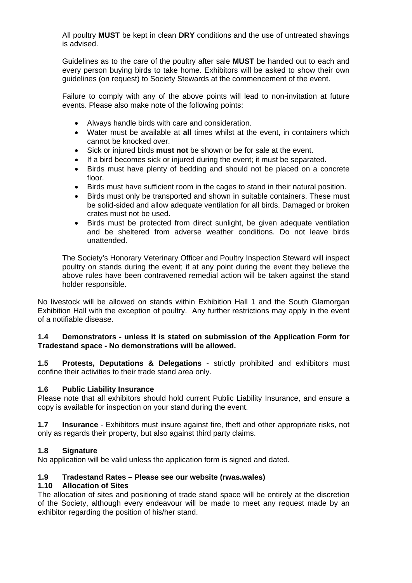All poultry **MUST** be kept in clean **DRY** conditions and the use of untreated shavings is advised.

Guidelines as to the care of the poultry after sale **MUST** be handed out to each and every person buying birds to take home. Exhibitors will be asked to show their own guidelines (on request) to Society Stewards at the commencement of the event.

Failure to comply with any of the above points will lead to non-invitation at future events. Please also make note of the following points:

- Always handle birds with care and consideration.
- Water must be available at **all** times whilst at the event, in containers which cannot be knocked over.
- Sick or injured birds **must not** be shown or be for sale at the event.
- If a bird becomes sick or injured during the event; it must be separated.
- Birds must have plenty of bedding and should not be placed on a concrete floor.
- Birds must have sufficient room in the cages to stand in their natural position.
- Birds must only be transported and shown in suitable containers. These must be solid-sided and allow adequate ventilation for all birds. Damaged or broken crates must not be used.
- Birds must be protected from direct sunlight, be given adequate ventilation and be sheltered from adverse weather conditions. Do not leave birds unattended.

The Society's Honorary Veterinary Officer and Poultry Inspection Steward will inspect poultry on stands during the event; if at any point during the event they believe the above rules have been contravened remedial action will be taken against the stand holder responsible.

No livestock will be allowed on stands within Exhibition Hall 1 and the South Glamorgan Exhibition Hall with the exception of poultry. Any further restrictions may apply in the event of a notifiable disease.

#### **1.4 Demonstrators - unless it is stated on submission of the Application Form for Tradestand space - No demonstrations will be allowed.**

**1.5 Protests, Deputations & Delegations** - strictly prohibited and exhibitors must confine their activities to their trade stand area only.

#### **1.6 Public Liability Insurance**

Please note that all exhibitors should hold current Public Liability Insurance, and ensure a copy is available for inspection on your stand during the event.

**1.7 Insurance** - Exhibitors must insure against fire, theft and other appropriate risks, not only as regards their property, but also against third party claims.

#### **1.8 Signature**

No application will be valid unless the application form is signed and dated.

#### **1.9 Tradestand Rates – Please see our website (rwas.wales)**

#### **1.10 Allocation of Sites**

The allocation of sites and positioning of trade stand space will be entirely at the discretion of the Society, although every endeavour will be made to meet any request made by an exhibitor regarding the position of his/her stand.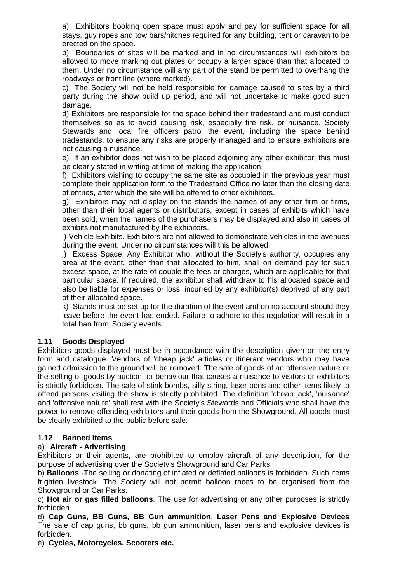a) Exhibitors booking open space must apply and pay for sufficient space for all stays, guy ropes and tow bars/hitches required for any building, tent or caravan to be erected on the space.

b) Boundaries of sites will be marked and in no circumstances will exhibitors be allowed to move marking out plates or occupy a larger space than that allocated to them. Under no circumstance will any part of the stand be permitted to overhang the roadways or front line (where marked).

c) The Society will not be held responsible for damage caused to sites by a third party during the show build up period, and will not undertake to make good such damage.

d) Exhibitors are responsible for the space behind their tradestand and must conduct themselves so as to avoid causing risk, especially fire risk, or nuisance. Society Stewards and local fire officers patrol the event, including the space behind tradestands, to ensure any risks are properly managed and to ensure exhibitors are not causing a nuisance.

e) If an exhibitor does not wish to be placed adjoining any other exhibitor, this must be clearly stated in writing at time of making the application.

f) Exhibitors wishing to occupy the same site as occupied in the previous year must complete their application form to the Tradestand Office no later than the closing date of entries, after which the site will be offered to other exhibitors.

g) Exhibitors may not display on the stands the names of any other firm or firms, other than their local agents or distributors, except in cases of exhibits which have been sold, when the names of the purchasers may be displayed and also in cases of exhibits not manufactured by the exhibitors.

i) Vehicle Exhibits**.** Exhibitors are not allowed to demonstrate vehicles in the avenues during the event. Under no circumstances will this be allowed.

j) Excess Space. Any Exhibitor who, without the Society's authority, occupies any area at the event, other than that allocated to him, shall on demand pay for such excess space, at the rate of double the fees or charges, which are applicable for that particular space. If required, the exhibitor shall withdraw to his allocated space and also be liable for expenses or loss, incurred by any exhibitor(s) deprived of any part of their allocated space.

k) Stands must be set up for the duration of the event and on no account should they leave before the event has ended. Failure to adhere to this regulation will result in a total ban from Society events.

#### **1.11 Goods Displayed**

Exhibitors goods displayed must be in accordance with the description given on the entry form and catalogue. Vendors of 'cheap jack' articles or itinerant vendors who may have gained admission to the ground will be removed. The sale of goods of an offensive nature or the selling of goods by auction, or behaviour that causes a nuisance to visitors or exhibitors is strictly forbidden. The sale of stink bombs, silly string, laser pens and other items likely to offend persons visiting the show is strictly prohibited. The definition 'cheap jack', 'nuisance' and 'offensive nature' shall rest with the Society's Stewards and Officials who shall have the power to remove offending exhibitors and their goods from the Showground. All goods must be clearly exhibited to the public before sale.

#### **1.12 Banned Items**

#### a) **Aircraft - Advertising**

Exhibitors or their agents, are prohibited to employ aircraft of any description, for the purpose of advertising over the Society's Showground and Car Parks

b) **Balloons** -The selling or donating of inflated or deflated balloons is forbidden. Such items frighten livestock. The Society will not permit balloon races to be organised from the Showground or Car Parks.

c) **Hot air or gas filled balloons**. The use for advertising or any other purposes is strictly forbidden.

d) **Cap Guns, BB Guns, BB Gun ammunition**, **Laser Pens and Explosive Devices** The sale of cap guns, bb guns, bb gun ammunition, laser pens and explosive devices is forbidden.

e) **Cycles, Motorcycles, Scooters etc.**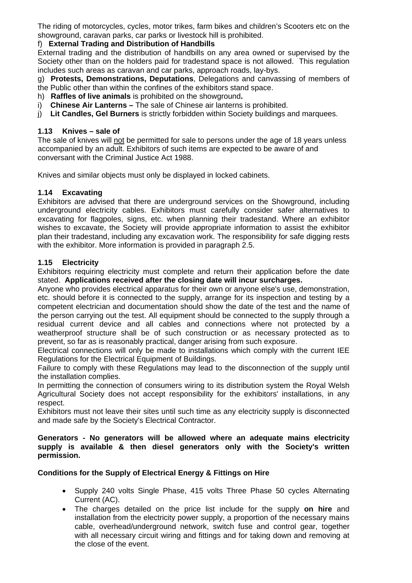The riding of motorcycles, cycles, motor trikes, farm bikes and children's Scooters etc on the showground, caravan parks, car parks or livestock hill is prohibited.

#### f) **External Trading and Distribution of Handbills**

External trading and the distribution of handbills on any area owned or supervised by the Society other than on the holders paid for tradestand space is not allowed. This regulation includes such areas as caravan and car parks, approach roads, lay-bys.

g) **Protests, Demonstrations, Deputations**, Delegations and canvassing of members of the Public other than within the confines of the exhibitors stand space.

- h) **Raffles of live animals** is prohibited on the showground**.**
- i) **Chinese Air Lanterns** The sale of Chinese air lanterns is prohibited.
- j) **Lit Candles, Gel Burners** is strictly forbidden within Society buildings and marquees.

#### **1.13 Knives – sale of**

The sale of knives will not be permitted for sale to persons under the age of 18 years unless accompanied by an adult. Exhibitors of such items are expected to be aware of and conversant with the Criminal Justice Act 1988.

Knives and similar objects must only be displayed in locked cabinets.

#### **1.14 Excavating**

Exhibitors are advised that there are underground services on the Showground, including underground electricity cables. Exhibitors must carefully consider safer alternatives to excavating for flagpoles, signs, etc. when planning their tradestand. Where an exhibitor wishes to excavate, the Society will provide appropriate information to assist the exhibitor plan their tradestand, including any excavation work. The responsibility for safe digging rests with the exhibitor. More information is provided in paragraph 2.5.

#### **1.15 Electricity**

Exhibitors requiring electricity must complete and return their application before the date stated. **Applications received after the closing date will incur surcharges.**

Anyone who provides electrical apparatus for their own or anyone else's use, demonstration, etc. should before it is connected to the supply, arrange for its inspection and testing by a competent electrician and documentation should show the date of the test and the name of the person carrying out the test. All equipment should be connected to the supply through a residual current device and all cables and connections where not protected by a weatherproof structure shall be of such construction or as necessary protected as to prevent, so far as is reasonably practical, danger arising from such exposure.

Electrical connections will only be made to installations which comply with the current IEE Regulations for the Electrical Equipment of Buildings.

Failure to comply with these Regulations may lead to the disconnection of the supply until the installation complies.

In permitting the connection of consumers wiring to its distribution system the Royal Welsh Agricultural Society does not accept responsibility for the exhibitors' installations, in any respect.

Exhibitors must not leave their sites until such time as any electricity supply is disconnected and made safe by the Society's Electrical Contractor.

#### **Generators - No generators will be allowed where an adequate mains electricity supply is available & then diesel generators only with the Society's written permission.**

#### **Conditions for the Supply of Electrical Energy & Fittings on Hire**

- Supply 240 volts Single Phase, 415 volts Three Phase 50 cycles Alternating Current (AC).
- The charges detailed on the price list include for the supply **on hire** and installation from the electricity power supply, a proportion of the necessary mains cable, overhead/underground network, switch fuse and control gear, together with all necessary circuit wiring and fittings and for taking down and removing at the close of the event.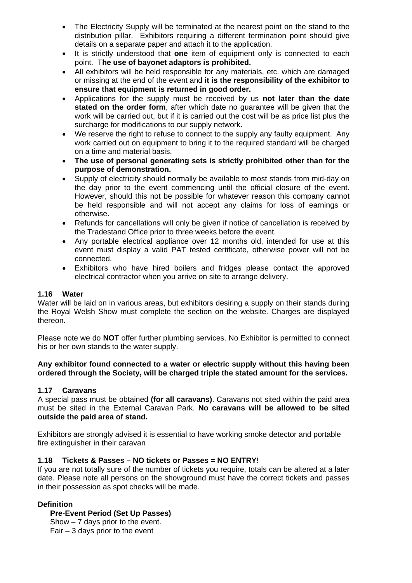- The Electricity Supply will be terminated at the nearest point on the stand to the distribution pillar. Exhibitors requiring a different termination point should give details on a separate paper and attach it to the application.
- It is strictly understood that **one** item of equipment only is connected to each point. T**he use of bayonet adaptors is prohibited.**
- All exhibitors will be held responsible for any materials, etc. which are damaged or missing at the end of the event and **it is the responsibility of the exhibitor to ensure that equipment is returned in good order.**
- Applications for the supply must be received by us **not later than the date stated on the order form**, after which date no guarantee will be given that the work will be carried out, but if it is carried out the cost will be as price list plus the surcharge for modifications to our supply network.
- We reserve the right to refuse to connect to the supply any faulty equipment. Any work carried out on equipment to bring it to the required standard will be charged on a time and material basis.
- **The use of personal generating sets is strictly prohibited other than for the purpose of demonstration.**
- Supply of electricity should normally be available to most stands from mid-day on the day prior to the event commencing until the official closure of the event. However, should this not be possible for whatever reason this company cannot be held responsible and will not accept any claims for loss of earnings or otherwise.
- Refunds for cancellations will only be given if notice of cancellation is received by the Tradestand Office prior to three weeks before the event.
- Any portable electrical appliance over 12 months old, intended for use at this event must display a valid PAT tested certificate, otherwise power will not be connected.
- Exhibitors who have hired boilers and fridges please contact the approved electrical contractor when you arrive on site to arrange delivery.

#### **1.16 Water**

Water will be laid on in various areas, but exhibitors desiring a supply on their stands during the Royal Welsh Show must complete the section on the website. Charges are displayed thereon.

Please note we do **NOT** offer further plumbing services. No Exhibitor is permitted to connect his or her own stands to the water supply.

#### **Any exhibitor found connected to a water or electric supply without this having been ordered through the Society, will be charged triple the stated amount for the services.**

#### **1.17 Caravans**

A special pass must be obtained **(for all caravans)**. Caravans not sited within the paid area must be sited in the External Caravan Park. **No caravans will be allowed to be sited outside the paid area of stand.** 

Exhibitors are strongly advised it is essential to have working smoke detector and portable fire extinguisher in their caravan

#### **1.18 Tickets & Passes – NO tickets or Passes = NO ENTRY!**

If you are not totally sure of the number of tickets you require, totals can be altered at a later date. Please note all persons on the showground must have the correct tickets and passes in their possession as spot checks will be made.

#### **Definition**

#### **Pre-Event Period (Set Up Passes)**

Show – 7 days prior to the event.

Fair – 3 days prior to the event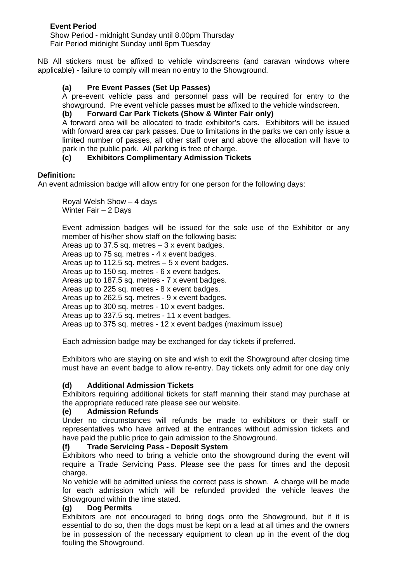#### **Event Period**

Show Period - midnight Sunday until 8.00pm Thursday Fair Period midnight Sunday until 6pm Tuesday

NB All stickers must be affixed to vehicle windscreens (and caravan windows where applicable) - failure to comply will mean no entry to the Showground.

#### **(a) Pre Event Passes (Set Up Passes)**

A pre-event vehicle pass and personnel pass will be required for entry to the showground. Pre event vehicle passes **must** be affixed to the vehicle windscreen.

#### **(b) Forward Car Park Tickets (Show & Winter Fair only)**

A forward area will be allocated to trade exhibitor's cars. Exhibitors will be issued with forward area car park passes. Due to limitations in the parks we can only issue a limited number of passes, all other staff over and above the allocation will have to park in the public park. All parking is free of charge.

#### **(c) Exhibitors Complimentary Admission Tickets**

#### **Definition:**

An event admission badge will allow entry for one person for the following days:

 Royal Welsh Show – 4 days Winter Fair – 2 Days

Event admission badges will be issued for the sole use of the Exhibitor or any member of his/her show staff on the following basis:

Areas up to 37.5 sq. metres  $-3x$  event badges.

Areas up to 75 sq. metres - 4 x event badges.

Areas up to 112.5 sq. metres – 5 x event badges.

Areas up to 150 sq. metres - 6 x event badges.

Areas up to 187.5 sq. metres - 7 x event badges.

Areas up to 225 sq. metres - 8 x event badges.

Areas up to 262.5 sq. metres - 9 x event badges.

Areas up to 300 sq. metres - 10 x event badges.

Areas up to 337.5 sq. metres - 11 x event badges.

Areas up to 375 sq. metres - 12 x event badges (maximum issue)

Each admission badge may be exchanged for day tickets if preferred.

Exhibitors who are staying on site and wish to exit the Showground after closing time must have an event badge to allow re-entry. Day tickets only admit for one day only

#### **(d) Additional Admission Tickets**

Exhibitors requiring additional tickets for staff manning their stand may purchase at the appropriate reduced rate please see our website.

#### **(e) Admission Refunds**

Under no circumstances will refunds be made to exhibitors or their staff or representatives who have arrived at the entrances without admission tickets and have paid the public price to gain admission to the Showground.

#### **(f) Trade Servicing Pass - Deposit System**

Exhibitors who need to bring a vehicle onto the showground during the event will require a Trade Servicing Pass. Please see the pass for times and the deposit charge.

No vehicle will be admitted unless the correct pass is shown. A charge will be made for each admission which will be refunded provided the vehicle leaves the Showground within the time stated.

#### **(g) Dog Permits**

Exhibitors are not encouraged to bring dogs onto the Showground, but if it is essential to do so, then the dogs must be kept on a lead at all times and the owners be in possession of the necessary equipment to clean up in the event of the dog fouling the Showground.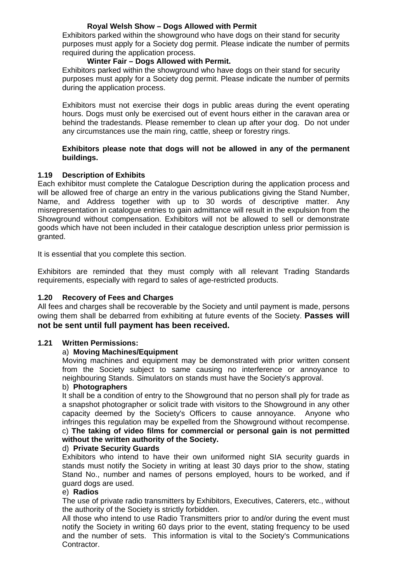#### **Royal Welsh Show – Dogs Allowed with Permit**

 Exhibitors parked within the showground who have dogs on their stand for security purposes must apply for a Society dog permit. Please indicate the number of permits required during the application process.

#### **Winter Fair – Dogs Allowed with Permit.**

Exhibitors parked within the showground who have dogs on their stand for security purposes must apply for a Society dog permit. Please indicate the number of permits during the application process.

Exhibitors must not exercise their dogs in public areas during the event operating hours. Dogs must only be exercised out of event hours either in the caravan area or behind the tradestands. Please remember to clean up after your dog. Do not under any circumstances use the main ring, cattle, sheep or forestry rings.

#### **Exhibitors please note that dogs will not be allowed in any of the permanent buildings.**

#### **1.19 Description of Exhibits**

Each exhibitor must complete the Catalogue Description during the application process and will be allowed free of charge an entry in the various publications giving the Stand Number, Name, and Address together with up to 30 words of descriptive matter. Any misrepresentation in catalogue entries to gain admittance will result in the expulsion from the Showground without compensation. Exhibitors will not be allowed to sell or demonstrate goods which have not been included in their catalogue description unless prior permission is granted.

It is essential that you complete this section.

Exhibitors are reminded that they must comply with all relevant Trading Standards requirements, especially with regard to sales of age-restricted products.

#### **1.20 Recovery of Fees and Charges**

All fees and charges shall be recoverable by the Society and until payment is made, persons owing them shall be debarred from exhibiting at future events of the Society. **Passes will not be sent until full payment has been received.**

#### **1.21 Written Permissions:**

#### a) **Moving Machines/Equipment**

Moving machines and equipment may be demonstrated with prior written consent from the Society subject to same causing no interference or annoyance to neighbouring Stands. Simulators on stands must have the Society's approval.

#### b) **Photographers**

It shall be a condition of entry to the Showground that no person shall ply for trade as a snapshot photographer or solicit trade with visitors to the Showground in any other capacity deemed by the Society's Officers to cause annoyance. Anyone who infringes this regulation may be expelled from the Showground without recompense. c) **The taking of video films for commercial or personal gain is not permitted without the written authority of the Society.**

#### d) **Private Security Guards**

Exhibitors who intend to have their own uniformed night SIA security guards in stands must notify the Society in writing at least 30 days prior to the show, stating Stand No., number and names of persons employed, hours to be worked, and if guard dogs are used.

#### e) **Radios**

The use of private radio transmitters by Exhibitors, Executives, Caterers, etc., without the authority of the Society is strictly forbidden.

All those who intend to use Radio Transmitters prior to and/or during the event must notify the Society in writing 60 days prior to the event, stating frequency to be used and the number of sets. This information is vital to the Society's Communications Contractor.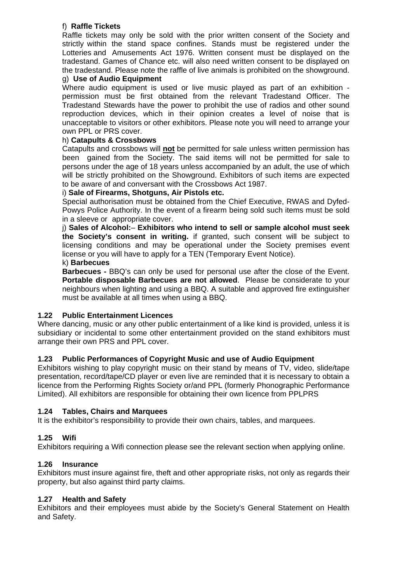#### f) **Raffle Tickets**

Raffle tickets may only be sold with the prior written consent of the Society and strictly within the stand space confines. Stands must be registered under the Lotteries and Amusements Act 1976. Written consent must be displayed on the tradestand. Games of Chance etc. will also need written consent to be displayed on the tradestand. Please note the raffle of live animals is prohibited on the showground.

#### g) **Use of Audio Equipment**

Where audio equipment is used or live music played as part of an exhibition permission must be first obtained from the relevant Tradestand Officer. The Tradestand Stewards have the power to prohibit the use of radios and other sound reproduction devices, which in their opinion creates a level of noise that is unacceptable to visitors or other exhibitors. Please note you will need to arrange your own PPL or PRS cover.

#### h) **Catapults & Crossbows**

Catapults and crossbows will **not** be permitted for sale unless written permission has been gained from the Society. The said items will not be permitted for sale to persons under the age of 18 years unless accompanied by an adult, the use of which will be strictly prohibited on the Showground. Exhibitors of such items are expected to be aware of and conversant with the Crossbows Act 1987.

#### i) **Sale of Firearms, Shotguns, Air Pistols etc.**

Special authorisation must be obtained from the Chief Executive, RWAS and Dyfed-Powys Police Authority. In the event of a firearm being sold such items must be sold in a sleeve or appropriate cover.

j) **Sales of Alcohol:**– **Exhibitors who intend to sell or sample alcohol must seek the Society's consent in writing.** if granted, such consent will be subject to licensing conditions and may be operational under the Society premises event license or you will have to apply for a TEN (Temporary Event Notice).

#### k) **Barbecues**

**Barbecues -** BBQ's can only be used for personal use after the close of the Event. **Portable disposable Barbecues are not allowed**. Please be considerate to your neighbours when lighting and using a BBQ. A suitable and approved fire extinguisher must be available at all times when using a BBQ.

#### **1.22 Public Entertainment Licences**

Where dancing, music or any other public entertainment of a like kind is provided, unless it is subsidiary or incidental to some other entertainment provided on the stand exhibitors must arrange their own PRS and PPL cover.

#### **1.23 Public Performances of Copyright Music and use of Audio Equipment**

Exhibitors wishing to play copyright music on their stand by means of TV, video, slide/tape presentation, record/tape/CD player or even live are reminded that it is necessary to obtain a licence from the Performing Rights Society or/and PPL (formerly Phonographic Performance Limited). All exhibitors are responsible for obtaining their own licence from PPLPRS

#### **1.24 Tables, Chairs and Marquees**

It is the exhibitor's responsibility to provide their own chairs, tables, and marquees.

#### **1.25 Wifi**

Exhibitors requiring a Wifi connection please see the relevant section when applying online.

#### **1.26 Insurance**

Exhibitors must insure against fire, theft and other appropriate risks, not only as regards their property, but also against third party claims.

#### **1.27 Health and Safety**

Exhibitors and their employees must abide by the Society's General Statement on Health and Safety.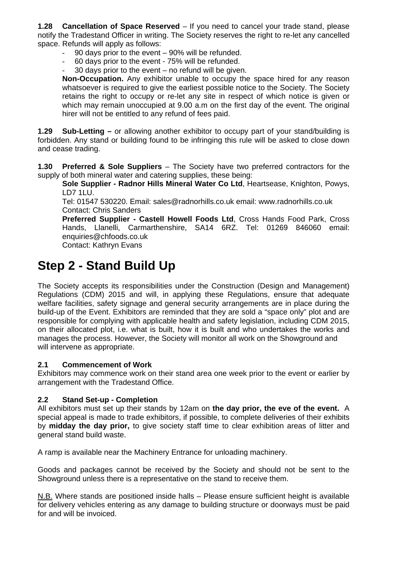**1.28 Cancellation of Space Reserved** – If you need to cancel your trade stand, please notify the Tradestand Officer in writing. The Society reserves the right to re-let any cancelled space. Refunds will apply as follows:

- 90 days prior to the event 90% will be refunded.
- 60 days prior to the event 75% will be refunded.
- 30 days prior to the event  $-$  no refund will be given.

**Non-Occupation.** Any exhibitor unable to occupy the space hired for any reason whatsoever is required to give the earliest possible notice to the Society. The Society retains the right to occupy or re-let any site in respect of which notice is given or which may remain unoccupied at 9.00 a.m on the first day of the event. The original hirer will not be entitled to any refund of fees paid.

**1.29 Sub-Letting –** or allowing another exhibitor to occupy part of your stand/building is forbidden. Any stand or building found to be infringing this rule will be asked to close down and cease trading.

**1.30 Preferred & Sole Suppliers** – The Society have two preferred contractors for the supply of both mineral water and catering supplies, these being:

**Sole Supplier - Radnor Hills Mineral Water Co Ltd**, Heartsease, Knighton, Powys, LD7 1LU.

Tel: 01547 530220. Email: sales@radnorhills.co.uk email: www.radnorhills.co.uk Contact: Chris Sanders

**Preferred Supplier - Castell Howell Foods Ltd**, Cross Hands Food Park, Cross Hands, Llanelli, Carmarthenshire, SA14 6RZ. Tel: 01269 846060 email: enquiries@chfoods.co.uk

Contact: Kathryn Evans

## **Step 2 - Stand Build Up**

The Society accepts its responsibilities under the Construction (Design and Management) Regulations (CDM) 2015 and will, in applying these Regulations, ensure that adequate welfare facilities, safety signage and general security arrangements are in place during the build-up of the Event. Exhibitors are reminded that they are sold a "space only" plot and are responsible for complying with applicable health and safety legislation, including CDM 2015, on their allocated plot, i.e. what is built, how it is built and who undertakes the works and manages the process. However, the Society will monitor all work on the Showground and will intervene as appropriate.

#### **2.1 Commencement of Work**

Exhibitors may commence work on their stand area one week prior to the event or earlier by arrangement with the Tradestand Office.

#### **2.2 Stand Set-up - Completion**

All exhibitors must set up their stands by 12am on **the day prior, the eve of the event.** A special appeal is made to trade exhibitors, if possible, to complete deliveries of their exhibits by **midday the day prior,** to give society staff time to clear exhibition areas of litter and general stand build waste.

A ramp is available near the Machinery Entrance for unloading machinery.

Goods and packages cannot be received by the Society and should not be sent to the Showground unless there is a representative on the stand to receive them.

N.B. Where stands are positioned inside halls – Please ensure sufficient height is available for delivery vehicles entering as any damage to building structure or doorways must be paid for and will be invoiced.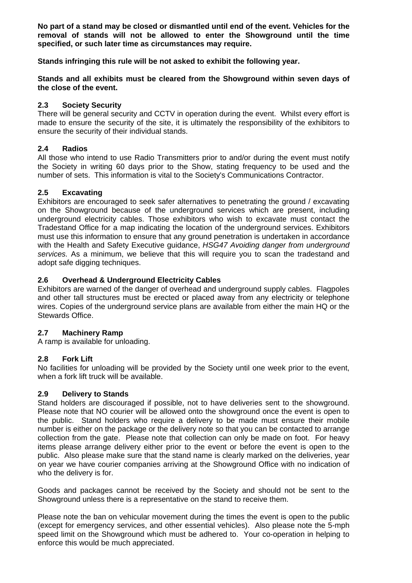**No part of a stand may be closed or dismantled until end of the event. Vehicles for the removal of stands will not be allowed to enter the Showground until the time specified, or such later time as circumstances may require.** 

**Stands infringing this rule will be not asked to exhibit the following year.** 

**Stands and all exhibits must be cleared from the Showground within seven days of the close of the event.** 

#### **2.3 Society Security**

There will be general security and CCTV in operation during the event. Whilst every effort is made to ensure the security of the site, it is ultimately the responsibility of the exhibitors to ensure the security of their individual stands.

#### **2.4 Radios**

All those who intend to use Radio Transmitters prior to and/or during the event must notify the Society in writing 60 days prior to the Show, stating frequency to be used and the number of sets. This information is vital to the Society's Communications Contractor.

#### **2.5 Excavating**

Exhibitors are encouraged to seek safer alternatives to penetrating the ground / excavating on the Showground because of the underground services which are present, including underground electricity cables. Those exhibitors who wish to excavate must contact the Tradestand Office for a map indicating the location of the underground services. Exhibitors must use this information to ensure that any ground penetration is undertaken in accordance with the Health and Safety Executive guidance, *HSG47 Avoiding danger from underground services.* As a minimum, we believe that this will require you to scan the tradestand and adopt safe digging techniques.

#### **2.6 Overhead & Underground Electricity Cables**

Exhibitors are warned of the danger of overhead and underground supply cables. Flagpoles and other tall structures must be erected or placed away from any electricity or telephone wires. Copies of the underground service plans are available from either the main HQ or the Stewards Office.

#### **2.7 Machinery Ramp**

A ramp is available for unloading.

#### **2.8 Fork Lift**

No facilities for unloading will be provided by the Society until one week prior to the event, when a fork lift truck will be available.

#### **2.9 Delivery to Stands**

Stand holders are discouraged if possible, not to have deliveries sent to the showground. Please note that NO courier will be allowed onto the showground once the event is open to the public. Stand holders who require a delivery to be made must ensure their mobile number is either on the package or the delivery note so that you can be contacted to arrange collection from the gate. Please note that collection can only be made on foot. For heavy items please arrange delivery either prior to the event or before the event is open to the public. Also please make sure that the stand name is clearly marked on the deliveries, year on year we have courier companies arriving at the Showground Office with no indication of who the delivery is for.

Goods and packages cannot be received by the Society and should not be sent to the Showground unless there is a representative on the stand to receive them.

Please note the ban on vehicular movement during the times the event is open to the public (except for emergency services, and other essential vehicles). Also please note the 5-mph speed limit on the Showground which must be adhered to. Your co-operation in helping to enforce this would be much appreciated.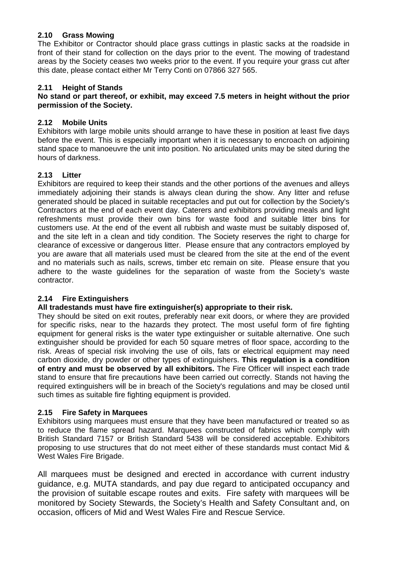#### **2.10 Grass Mowing**

The Exhibitor or Contractor should place grass cuttings in plastic sacks at the roadside in front of their stand for collection on the days prior to the event. The mowing of tradestand areas by the Society ceases two weeks prior to the event. If you require your grass cut after this date, please contact either Mr Terry Conti on 07866 327 565.

#### **2.11 Height of Stands**

#### **No stand or part thereof, or exhibit, may exceed 7.5 meters in height without the prior permission of the Society.**

#### **2.12 Mobile Units**

Exhibitors with large mobile units should arrange to have these in position at least five days before the event. This is especially important when it is necessary to encroach on adjoining stand space to manoeuvre the unit into position. No articulated units may be sited during the hours of darkness.

#### **2.13 Litter**

Exhibitors are required to keep their stands and the other portions of the avenues and alleys immediately adjoining their stands is always clean during the show. Any litter and refuse generated should be placed in suitable receptacles and put out for collection by the Society's Contractors at the end of each event day. Caterers and exhibitors providing meals and light refreshments must provide their own bins for waste food and suitable litter bins for customers use. At the end of the event all rubbish and waste must be suitably disposed of, and the site left in a clean and tidy condition. The Society reserves the right to charge for clearance of excessive or dangerous litter. Please ensure that any contractors employed by you are aware that all materials used must be cleared from the site at the end of the event and no materials such as nails, screws, timber etc remain on site. Please ensure that you adhere to the waste guidelines for the separation of waste from the Society's waste contractor.

#### **2.14 Fire Extinguishers**

#### **All tradestands must have fire extinguisher(s) appropriate to their risk.**

They should be sited on exit routes, preferably near exit doors, or where they are provided for specific risks, near to the hazards they protect. The most useful form of fire fighting equipment for general risks is the water type extinguisher or suitable alternative. One such extinguisher should be provided for each 50 square metres of floor space, according to the risk. Areas of special risk involving the use of oils, fats or electrical equipment may need carbon dioxide, dry powder or other types of extinguishers. **This regulation is a condition of entry and must be observed by all exhibitors.** The Fire Officer will inspect each trade stand to ensure that fire precautions have been carried out correctly. Stands not having the required extinguishers will be in breach of the Society's regulations and may be closed until such times as suitable fire fighting equipment is provided.

#### **2.15 Fire Safety in Marquees**

Exhibitors using marquees must ensure that they have been manufactured or treated so as to reduce the flame spread hazard. Marquees constructed of fabrics which comply with British Standard 7157 or British Standard 5438 will be considered acceptable. Exhibitors proposing to use structures that do not meet either of these standards must contact Mid & West Wales Fire Brigade.

All marquees must be designed and erected in accordance with current industry guidance, e.g. MUTA standards, and pay due regard to anticipated occupancy and the provision of suitable escape routes and exits. Fire safety with marquees will be monitored by Society Stewards, the Society's Health and Safety Consultant and, on occasion, officers of Mid and West Wales Fire and Rescue Service.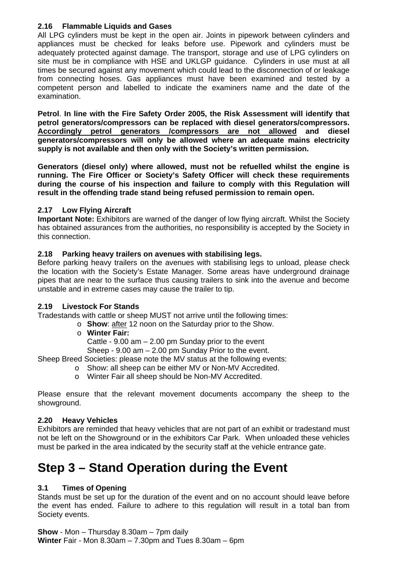#### **2.16 Flammable Liquids and Gases**

All LPG cylinders must be kept in the open air. Joints in pipework between cylinders and appliances must be checked for leaks before use. Pipework and cylinders must be adequately protected against damage. The transport, storage and use of LPG cylinders on site must be in compliance with HSE and UKLGP guidance. Cylinders in use must at all times be secured against any movement which could lead to the disconnection of or leakage from connecting hoses. Gas appliances must have been examined and tested by a competent person and labelled to indicate the examiners name and the date of the examination.

**Petrol**. **In line with the Fire Safety Order 2005, the Risk Assessment will identify that petrol generators/compressors can be replaced with diesel generators/compressors. Accordingly petrol generators /compressors are not allowed and diesel generators/compressors will only be allowed where an adequate mains electricity supply is not available and then only with the Society's written permission.**

**Generators (diesel only) where allowed, must not be refuelled whilst the engine is running. The Fire Officer or Society's Safety Officer will check these requirements during the course of his inspection and failure to comply with this Regulation will result in the offending trade stand being refused permission to remain open.**

#### **2.17 Low Flying Aircraft**

**Important Note:** Exhibitors are warned of the danger of low flying aircraft. Whilst the Society has obtained assurances from the authorities, no responsibility is accepted by the Society in this connection.

#### **2.18 Parking heavy trailers on avenues with stabilising legs.**

Before parking heavy trailers on the avenues with stabilising legs to unload, please check the location with the Society's Estate Manager. Some areas have underground drainage pipes that are near to the surface thus causing trailers to sink into the avenue and become unstable and in extreme cases may cause the trailer to tip.

#### **2.19 Livestock For Stands**

Tradestands with cattle or sheep MUST not arrive until the following times:

o **Show**: after 12 noon on the Saturday prior to the Show.

o **Winter Fair:**

Cattle - 9.00 am – 2.00 pm Sunday prior to the event

Sheep - 9.00 am – 2.00 pm Sunday Prior to the event.

Sheep Breed Societies: please note the MV status at the following events:

- o Show: all sheep can be either MV or Non-MV Accredited.
- o Winter Fair all sheep should be Non-MV Accredited.

Please ensure that the relevant movement documents accompany the sheep to the showground.

#### **2.20 Heavy Vehicles**

Exhibitors are reminded that heavy vehicles that are not part of an exhibit or tradestand must not be left on the Showground or in the exhibitors Car Park. When unloaded these vehicles must be parked in the area indicated by the security staff at the vehicle entrance gate.

## **Step 3 – Stand Operation during the Event**

#### **3.1 Times of Opening**

Stands must be set up for the duration of the event and on no account should leave before the event has ended. Failure to adhere to this regulation will result in a total ban from Society events.

**Show** - Mon – Thursday 8.30am – 7pm daily **Winter** Fair - Mon 8.30am – 7.30pm and Tues 8.30am – 6pm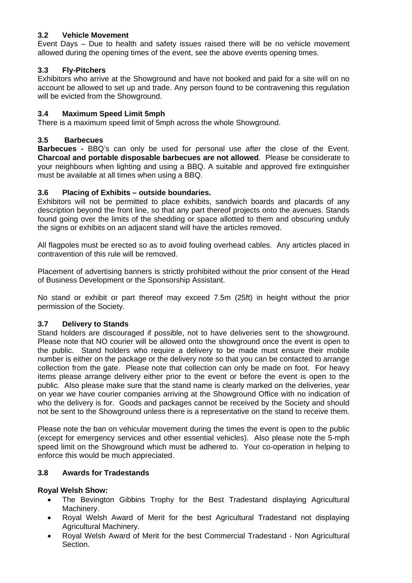#### **3.2 Vehicle Movement**

Event Days – Due to health and safety issues raised there will be no vehicle movement allowed during the opening times of the event, see the above events opening times.

#### **3.3 Fly-Pitchers**

Exhibitors who arrive at the Showground and have not booked and paid for a site will on no account be allowed to set up and trade. Any person found to be contravening this regulation will be evicted from the Showground.

#### **3.4 Maximum Speed Limit 5mph**

There is a maximum speed limit of 5mph across the whole Showground.

#### **3.5 Barbecues**

**Barbecues -** BBQ's can only be used for personal use after the close of the Event. **Charcoal and portable disposable barbecues are not allowed**. Please be considerate to your neighbours when lighting and using a BBQ. A suitable and approved fire extinguisher must be available at all times when using a BBQ.

#### **3.6 Placing of Exhibits – outside boundaries.**

Exhibitors will not be permitted to place exhibits, sandwich boards and placards of any description beyond the front line, so that any part thereof projects onto the avenues. Stands found going over the limits of the shedding or space allotted to them and obscuring unduly the signs or exhibits on an adjacent stand will have the articles removed.

All flagpoles must be erected so as to avoid fouling overhead cables. Any articles placed in contravention of this rule will be removed.

Placement of advertising banners is strictly prohibited without the prior consent of the Head of Business Development or the Sponsorship Assistant.

No stand or exhibit or part thereof may exceed 7.5m (25ft) in height without the prior permission of the Society.

#### **3.7 Delivery to Stands**

Stand holders are discouraged if possible, not to have deliveries sent to the showground. Please note that NO courier will be allowed onto the showground once the event is open to the public. Stand holders who require a delivery to be made must ensure their mobile number is either on the package or the delivery note so that you can be contacted to arrange collection from the gate. Please note that collection can only be made on foot. For heavy items please arrange delivery either prior to the event or before the event is open to the public. Also please make sure that the stand name is clearly marked on the deliveries, year on year we have courier companies arriving at the Showground Office with no indication of who the delivery is for. Goods and packages cannot be received by the Society and should not be sent to the Showground unless there is a representative on the stand to receive them.

Please note the ban on vehicular movement during the times the event is open to the public (except for emergency services and other essential vehicles). Also please note the 5-mph speed limit on the Showground which must be adhered to. Your co-operation in helping to enforce this would be much appreciated.

#### **3.8 Awards for Tradestands**

#### **Royal Welsh Show:**

- The Bevington Gibbins Trophy for the Best Tradestand displaying Agricultural Machinery.
- Royal Welsh Award of Merit for the best Agricultural Tradestand not displaying Agricultural Machinery.
- Royal Welsh Award of Merit for the best Commercial Tradestand Non Agricultural Section.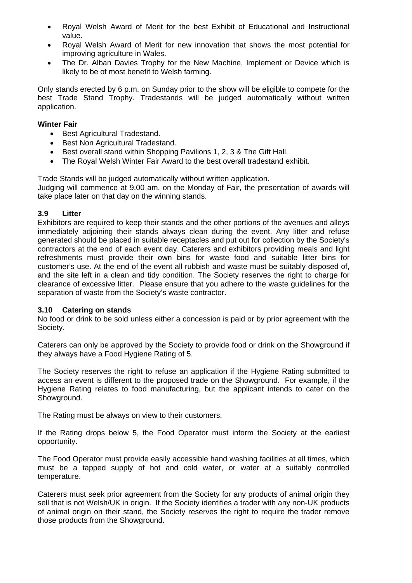- Royal Welsh Award of Merit for the best Exhibit of Educational and Instructional value.
- Royal Welsh Award of Merit for new innovation that shows the most potential for improving agriculture in Wales.
- The Dr. Alban Davies Trophy for the New Machine, Implement or Device which is likely to be of most benefit to Welsh farming.

Only stands erected by 6 p.m. on Sunday prior to the show will be eligible to compete for the best Trade Stand Trophy. Tradestands will be judged automatically without written application.

#### **Winter Fair**

- Best Agricultural Tradestand.
- Best Non Agricultural Tradestand.
- Best overall stand within Shopping Pavilions 1, 2, 3 & The Gift Hall.
- The Royal Welsh Winter Fair Award to the best overall tradestand exhibit.

Trade Stands will be judged automatically without written application.

Judging will commence at 9.00 am, on the Monday of Fair, the presentation of awards will take place later on that day on the winning stands.

#### **3.9 Litter**

Exhibitors are required to keep their stands and the other portions of the avenues and alleys immediately adjoining their stands always clean during the event. Any litter and refuse generated should be placed in suitable receptacles and put out for collection by the Society's contractors at the end of each event day. Caterers and exhibitors providing meals and light refreshments must provide their own bins for waste food and suitable litter bins for customer's use. At the end of the event all rubbish and waste must be suitably disposed of, and the site left in a clean and tidy condition. The Society reserves the right to charge for clearance of excessive litter. Please ensure that you adhere to the waste guidelines for the separation of waste from the Society's waste contractor.

#### **3.10 Catering on stands**

No food or drink to be sold unless either a concession is paid or by prior agreement with the Society.

Caterers can only be approved by the Society to provide food or drink on the Showground if they always have a Food Hygiene Rating of 5.

The Society reserves the right to refuse an application if the Hygiene Rating submitted to access an event is different to the proposed trade on the Showground. For example, if the Hygiene Rating relates to food manufacturing, but the applicant intends to cater on the Showground.

The Rating must be always on view to their customers.

If the Rating drops below 5, the Food Operator must inform the Society at the earliest opportunity.

The Food Operator must provide easily accessible hand washing facilities at all times, which must be a tapped supply of hot and cold water, or water at a suitably controlled temperature.

Caterers must seek prior agreement from the Society for any products of animal origin they sell that is not Welsh/UK in origin. If the Society identifies a trader with any non-UK products of animal origin on their stand, the Society reserves the right to require the trader remove those products from the Showground.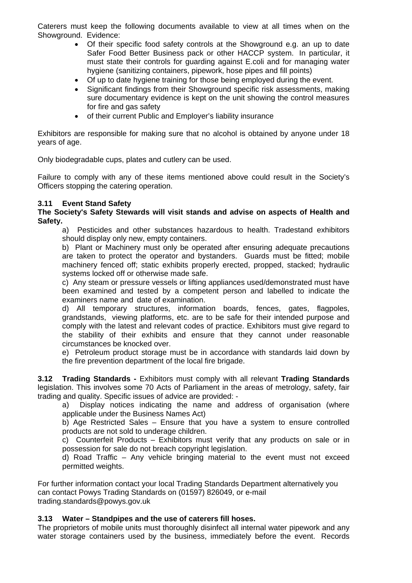Caterers must keep the following documents available to view at all times when on the Showground. Evidence:

- Of their specific food safety controls at the Showground e.g. an up to date Safer Food Better Business pack or other HACCP system. In particular, it must state their controls for guarding against E.coli and for managing water hygiene (sanitizing containers, pipework, hose pipes and fill points)
- Of up to date hygiene training for those being employed during the event.
- Significant findings from their Showground specific risk assessments, making sure documentary evidence is kept on the unit showing the control measures for fire and gas safety
- of their current Public and Employer's liability insurance

Exhibitors are responsible for making sure that no alcohol is obtained by anyone under 18 years of age.

Only biodegradable cups, plates and cutlery can be used.

Failure to comply with any of these items mentioned above could result in the Society's Officers stopping the catering operation.

#### **3.11 Event Stand Safety**

**The Society's Safety Stewards will visit stands and advise on aspects of Health and Safety.** 

a) Pesticides and other substances hazardous to health. Tradestand exhibitors should display only new, empty containers.

b) Plant or Machinery must only be operated after ensuring adequate precautions are taken to protect the operator and bystanders. Guards must be fitted; mobile machinery fenced off; static exhibits properly erected, propped, stacked; hydraulic systems locked off or otherwise made safe.

c) Any steam or pressure vessels or lifting appliances used/demonstrated must have been examined and tested by a competent person and labelled to indicate the examiners name and date of examination.

d) All temporary structures, information boards, fences, gates, flagpoles, grandstands, viewing platforms, etc. are to be safe for their intended purpose and comply with the latest and relevant codes of practice. Exhibitors must give regard to the stability of their exhibits and ensure that they cannot under reasonable circumstances be knocked over.

e) Petroleum product storage must be in accordance with standards laid down by the fire prevention department of the local fire brigade.

**3.12 Trading Standards -** Exhibitors must comply with all relevant **Trading Standards**  legislation. This involves some 70 Acts of Parliament in the areas of metrology, safety, fair trading and quality. Specific issues of advice are provided: -

a) Display notices indicating the name and address of organisation (where applicable under the Business Names Act)

b) Age Restricted Sales – Ensure that you have a system to ensure controlled products are not sold to underage children.

c) Counterfeit Products – Exhibitors must verify that any products on sale or in possession for sale do not breach copyright legislation.

d) Road Traffic – Any vehicle bringing material to the event must not exceed permitted weights.

For further information contact your local Trading Standards Department alternatively you can contact Powys Trading Standards on (01597) 826049, or e-mail trading.standards@powys.gov.uk

#### **3.13 Water – Standpipes and the use of caterers fill hoses.**

The proprietors of mobile units must thoroughly disinfect all internal water pipework and any water storage containers used by the business, immediately before the event. Records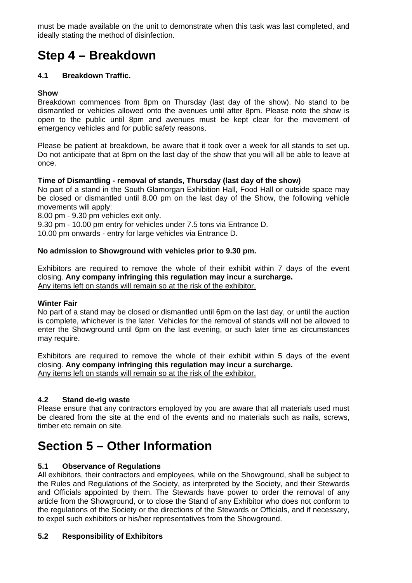must be made available on the unit to demonstrate when this task was last completed, and ideally stating the method of disinfection.

## **Step 4 – Breakdown**

#### **4.1 Breakdown Traffic.**

#### **Show**

Breakdown commences from 8pm on Thursday (last day of the show). No stand to be dismantled or vehicles allowed onto the avenues until after 8pm. Please note the show is open to the public until 8pm and avenues must be kept clear for the movement of emergency vehicles and for public safety reasons.

Please be patient at breakdown, be aware that it took over a week for all stands to set up. Do not anticipate that at 8pm on the last day of the show that you will all be able to leave at once.

#### **Time of Dismantling - removal of stands, Thursday (last day of the show)**

No part of a stand in the South Glamorgan Exhibition Hall, Food Hall or outside space may be closed or dismantled until 8.00 pm on the last day of the Show, the following vehicle movements will apply:

8.00 pm - 9.30 pm vehicles exit only.

9.30 pm - 10.00 pm entry for vehicles under 7.5 tons via Entrance D.

10.00 pm onwards - entry for large vehicles via Entrance D.

#### **No admission to Showground with vehicles prior to 9.30 pm.**

Exhibitors are required to remove the whole of their exhibit within 7 days of the event closing. **Any company infringing this regulation may incur a surcharge.**  Any items left on stands will remain so at the risk of the exhibitor.

#### **Winter Fair**

No part of a stand may be closed or dismantled until 6pm on the last day, or until the auction is complete, whichever is the later. Vehicles for the removal of stands will not be allowed to enter the Showground until 6pm on the last evening, or such later time as circumstances may require.

Exhibitors are required to remove the whole of their exhibit within 5 days of the event closing. **Any company infringing this regulation may incur a surcharge.**  Any items left on stands will remain so at the risk of the exhibitor.

#### **4.2 Stand de-rig waste**

Please ensure that any contractors employed by you are aware that all materials used must be cleared from the site at the end of the events and no materials such as nails, screws, timber etc remain on site.

## **Section 5 – Other Information**

#### **5.1 Observance of Regulations**

All exhibitors, their contractors and employees, while on the Showground, shall be subject to the Rules and Regulations of the Society, as interpreted by the Society, and their Stewards and Officials appointed by them. The Stewards have power to order the removal of any article from the Showground, or to close the Stand of any Exhibitor who does not conform to the regulations of the Society or the directions of the Stewards or Officials, and if necessary, to expel such exhibitors or his/her representatives from the Showground.

#### **5.2 Responsibility of Exhibitors**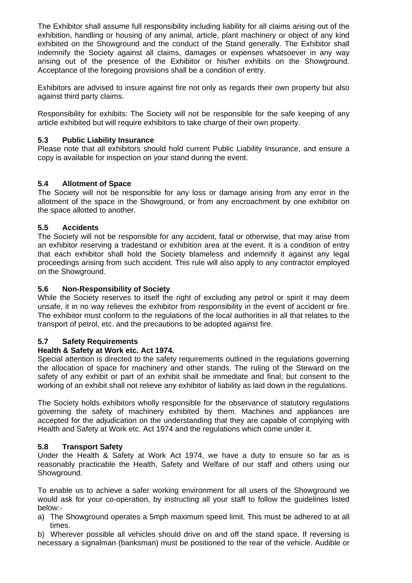The Exhibitor shall assume full responsibility including liability for all claims arising out of the exhibition, handling or housing of any animal, article, plant machinery or object of any kind exhibited on the Showground and the conduct of the Stand generally. The Exhibitor shall indemnify the Society against all claims, damages or expenses whatsoever in any way arising out of the presence of the Exhibitor or his/her exhibits on the Showground. Acceptance of the foregoing provisions shall be a condition of entry.

Exhibitors are advised to insure against fire not only as regards their own property but also against third party claims.

Responsibility for exhibits: The Society will not be responsible for the safe keeping of any article exhibited but will require exhibitors to take charge of their own property.

#### **5.3 Public Liability Insurance**

Please note that all exhibitors should hold current Public Liability Insurance, and ensure a copy is available for inspection on your stand during the event.

#### **5.4 Allotment of Space**

The Society will not be responsible for any loss or damage arising from any error in the allotment of the space in the Showground, or from any encroachment by one exhibitor on the space allotted to another.

#### **5.5 Accidents**

The Society will not be responsible for any accident, fatal or otherwise, that may arise from an exhibitor reserving a tradestand or exhibition area at the event. It is a condition of entry that each exhibitor shall hold the Society blameless and indemnify it against any legal proceedings arising from such accident. This rule will also apply to any contractor employed on the Showground.

#### **5.6 Non-Responsibility of Society**

While the Society reserves to itself the right of excluding any petrol or spirit it may deem unsafe, it in no way relieves the exhibitor from responsibility in the event of accident or fire. The exhibitor must conform to the regulations of the local authorities in all that relates to the transport of petrol, etc. and the precautions to be adopted against fire.

#### **5.7 Safety Requirements**

#### **Health & Safety at Work etc. Act 1974.**

Special attention is directed to the safety requirements outlined in the regulations governing the allocation of space for machinery and other stands. The ruling of the Steward on the safety of any exhibit or part of an exhibit shall be immediate and final; but consent to the working of an exhibit shall not relieve any exhibitor of liability as laid down in the regulations.

The Society holds exhibitors wholly responsible for the observance of statutory regulations governing the safety of machinery exhibited by them. Machines and appliances are accepted for the adjudication on the understanding that they are capable of complying with Health and Safety at Work etc. Act 1974 and the regulations which come under it.

#### **5.8 Transport Safety**

Under the Health & Safety at Work Act 1974, we have a duty to ensure so far as is reasonably practicable the Health, Safety and Welfare of our staff and others using our Showground.

To enable us to achieve a safer working environment for all users of the Showground we would ask for your co-operation, by instructing all your staff to follow the guidelines listed below:-

a) The Showground operates a 5mph maximum speed limit. This must be adhered to at all times.

b) Wherever possible all vehicles should drive on and off the stand space. If reversing is necessary a signalman (banksman) must be positioned to the rear of the vehicle. Audible or